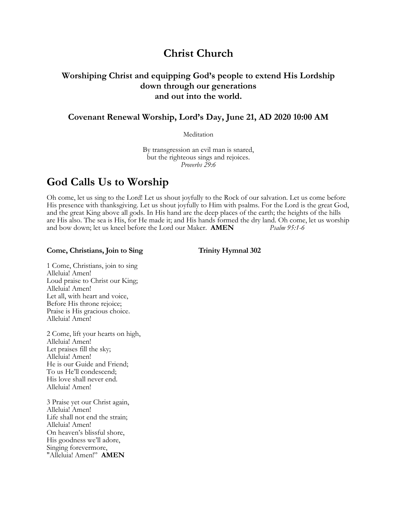# **Christ Church**

## **Worshiping Christ and equipping God's people to extend His Lordship down through our generations and out into the world.**

**Covenant Renewal Worship, Lord's Day, June 21, AD 2020 10:00 AM**

**Meditation** 

By transgression an evil man is snared, but the righteous sings and rejoices. *Proverbs 29:6*

## **God Calls Us to Worship**

Oh come, let us sing to the Lord! Let us shout joyfully to the Rock of our salvation. Let us come before His presence with thanksgiving. Let us shout joyfully to Him with psalms. For the Lord is the great God, and the great King above all gods. In His hand are the deep places of the earth; the heights of the hills are His also. The sea is His, for He made it; and His hands formed the dry land. Oh come, let us worship and bow down; let us kneel before the Lord our Maker. **AMEN** *Psalm 95:1-6*

#### Come, Christians, Join to Sing Trinity Hymnal 302

1 Come, Christians, join to sing Alleluia! Amen! Loud praise to Christ our King; Alleluia! Amen! Let all, with heart and voice, Before His throne rejoice; Praise is His gracious choice. Alleluia! Amen!

2 Come, lift your hearts on high, Alleluia! Amen! Let praises fill the sky; Alleluia! Amen! He is our Guide and Friend; To us He'll condescend; His love shall never end. Alleluia! Amen!

3 Praise yet our Christ again, Alleluia! Amen! Life shall not end the strain; Alleluia! Amen! On heaven's blissful shore, His goodness we'll adore, Singing forevermore, "Alleluia! Amen!" **AMEN**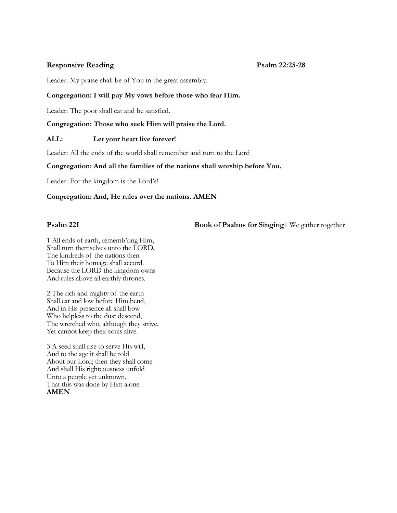### **Responsive Reading Psalm 22:25-28**

Leader: My praise shall be of You in the great assembly.

### **Congregation: I will pay My vows before those who fear Him.**

Leader: The poor shall eat and be satisfied.

#### **Congregation: Those who seek Him will praise the Lord.**

### **ALL: Let your heart live forever!**

Leader: All the ends of the world shall remember and turn to the Lord

#### **Congregation: And all the families of the nations shall worship before You.**

Leader: For the kingdom is the Lord's!

#### **Congregation: And, He rules over the nations. AMEN**

### **Psalm 22I Book of Psalms for Singing**1 We gather together

1 All ends of earth, rememb'ring Him, Shall turn themselves unto the LORD. The kindreds of the nations then To Him their homage shall accord. Because the LORD the kingdom owns And rules above all earthly thrones.

2 The rich and mighty of the earth Shall eat and low before Him bend, And in His presence all shall bow Who helpless to the dust descend, The wretched who, although they strive, Yet cannot keep their souls alive.

3 A seed shall rise to serve His will, And to the age it shall be told About our Lord; then they shall come And shall His righteousness unfold Unto a people yet unknown, That this was done by Him alone. **AMEN**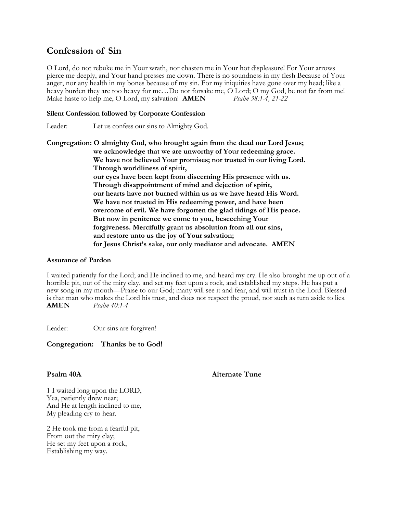## **Confession of Sin**

O Lord, do not rebuke me in Your wrath, nor chasten me in Your hot displeasure! For Your arrows pierce me deeply, and Your hand presses me down. There is no soundness in my flesh Because of Your anger, nor any health in my bones because of my sin. For my iniquities have gone over my head; like a heavy burden they are too heavy for me...Do not forsake me, O Lord; O my God, be not far from me!<br>Make haste to help me, O Lord, my salvation! **AMEN** *Psalm 38:1-4, 21-22* Make haste to help me, O Lord, my salvation! **AMEN** 

#### **Silent Confession followed by Corporate Confession**

Leader: Let us confess our sins to Almighty God.

**Congregation: O almighty God, who brought again from the dead our Lord Jesus; we acknowledge that we are unworthy of Your redeeming grace. We have not believed Your promises; nor trusted in our living Lord. Through worldliness of spirit, our eyes have been kept from discerning His presence with us. Through disappointment of mind and dejection of spirit, our hearts have not burned within us as we have heard His Word. We have not trusted in His redeeming power, and have been overcome of evil. We have forgotten the glad tidings of His peace. But now in penitence we come to you, beseeching Your forgiveness. Mercifully grant us absolution from all our sins, and restore unto us the joy of Your salvation; for Jesus Christ's sake, our only mediator and advocate. AMEN**

#### **Assurance of Pardon**

I waited patiently for the Lord; and He inclined to me, and heard my cry. He also brought me up out of a horrible pit, out of the miry clay, and set my feet upon a rock, and established my steps. He has put a new song in my mouth—Praise to our God; many will see it and fear, and will trust in the Lord. Blessed is that man who makes the Lord his trust, and does not respect the proud, nor such as turn aside to lies. **AMEN** *Psalm 40:1-4*

Leader: Our sins are forgiven!

**Congregation: Thanks be to God!**

**Psalm 40A** Alternate Tune

1 I waited long upon the LORD, Yea, patiently drew near; And He at length inclined to me, My pleading cry to hear.

2 He took me from a fearful pit, From out the miry clay; He set my feet upon a rock, Establishing my way.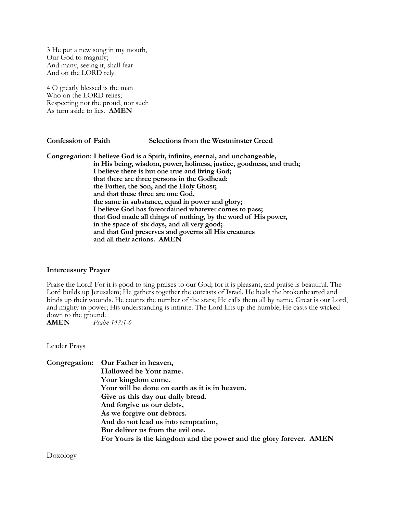3 He put a new song in my mouth, Our God to magnify; And many, seeing it, shall fear And on the LORD rely.

4 O greatly blessed is the man Who on the LORD relies; Respecting not the proud, nor such As turn aside to lies. **AMEN**

**Confession of Faith Selections from the Westminster Creed**

**Congregation: I believe God is a Spirit, infinite, eternal, and unchangeable, in His being, wisdom, power, holiness, justice, goodness, and truth; I believe there is but one true and living God; that there are three persons in the Godhead: the Father, the Son, and the Holy Ghost; and that these three are one God, the same in substance, equal in power and glory; I believe God has foreordained whatever comes to pass; that God made all things of nothing, by the word of His power, in the space of six days, and all very good; and that God preserves and governs all His creatures and all their actions. AMEN**

#### **Intercessory Prayer**

Praise the Lord! For it is good to sing praises to our God; for it is pleasant, and praise is beautiful. The Lord builds up Jerusalem; He gathers together the outcasts of Israel. He heals the brokenhearted and binds up their wounds. He counts the number of the stars; He calls them all by name. Great is our Lord, and mighty in power; His understanding is infinite. The Lord lifts up the humble; He casts the wicked down to the ground.

**AMEN** *Psalm 147:1-6*

Leader Prays

|  | Congregation: Our Father in heaven,                                |
|--|--------------------------------------------------------------------|
|  | Hallowed be Your name.                                             |
|  | Your kingdom come.                                                 |
|  | Your will be done on earth as it is in heaven.                     |
|  | Give us this day our daily bread.                                  |
|  | And forgive us our debts,                                          |
|  | As we forgive our debtors.                                         |
|  | And do not lead us into temptation,                                |
|  | But deliver us from the evil one.                                  |
|  | For Yours is the kingdom and the power and the glory forever. AMEN |
|  |                                                                    |

Doxology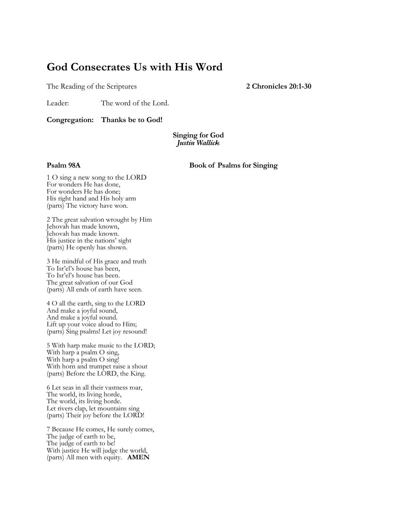# **God Consecrates Us with His Word**

The Reading of the Scriptures **2 Chronicles 20:1-30** 

Leader: The word of the Lord.

**Congregation: Thanks be to God!**

#### **Singing for God** *Justin Wallick*

**Psalm 98A** Book of Psalms for Singing

1 O sing a new song to the LORD For wonders He has done, For wonders He has done; His right hand and His holy arm (parts) The victory have won.

2 The great salvation wrought by Him Jehovah has made known, Jehovah has made known. His justice in the nations' sight (parts) He openly has shown.

3 He mindful of His grace and truth To Isr'el's house has been, To Isr'el's house has been. The great salvation of our God (parts) All ends of earth have seen.

4 O all the earth, sing to the LORD And make a joyful sound, And make a joyful sound. Lift up your voice aloud to Him; (parts) Sing psalms! Let joy resound!

5 With harp make music to the LORD; With harp a psalm O sing, With harp a psalm O sing! With horn and trumpet raise a shout (parts) Before the LORD, the King.

6 Let seas in all their vastness roar, The world, its living horde, The world, its living horde. Let rivers clap, let mountains sing (parts) Their joy before the LORD!

7 Because He comes, He surely comes, The judge of earth to be, The judge of earth to be! With justice He will judge the world, (parts) All men with equity. **AMEN**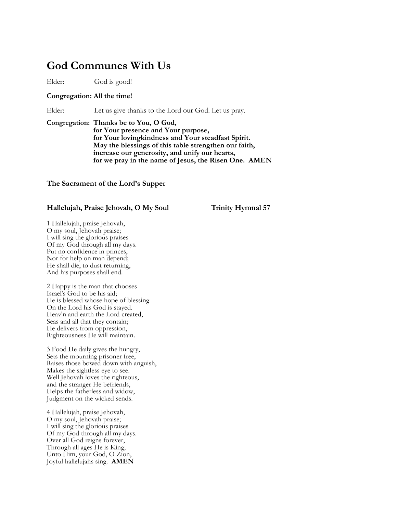## **God Communes With Us**

Elder: God is good!

#### **Congregation: All the time!**

Elder: Let us give thanks to the Lord our God. Let us pray.

**Congregation: Thanks be to You, O God, for Your presence and Your purpose, for Your lovingkindness and Your steadfast Spirit. May the blessings of this table strengthen our faith, increase our generosity, and unify our hearts, for we pray in the name of Jesus, the Risen One. AMEN**

#### **The Sacrament of the Lord's Supper**

#### **Hallelujah, Praise Jehovah, O My Soul Trinity Hymnal 57**

1 Hallelujah, praise Jehovah, O my soul, Jehovah praise; I will sing the glorious praises Of my God through all my days. Put no confidence in princes, Nor for help on man depend; He shall die, to dust returning, And his purposes shall end.

2 Happy is the man that chooses Israel's God to be his aid; He is blessed whose hope of blessing On the Lord his God is stayed. Heav'n and earth the Lord created, Seas and all that they contain; He delivers from oppression, Righteousness He will maintain.

3 Food He daily gives the hungry, Sets the mourning prisoner free, Raises those bowed down with anguish, Makes the sightless eye to see. Well Jehovah loves the righteous, and the stranger He befriends, Helps the fatherless and widow, Judgment on the wicked sends.

4 Hallelujah, praise Jehovah, O my soul, Jehovah praise; I will sing the glorious praises Of my God through all my days. Over all God reigns forever, Through all ages He is King; Unto Him, your God, O Zion, Joyful hallelujahs sing. **AMEN**